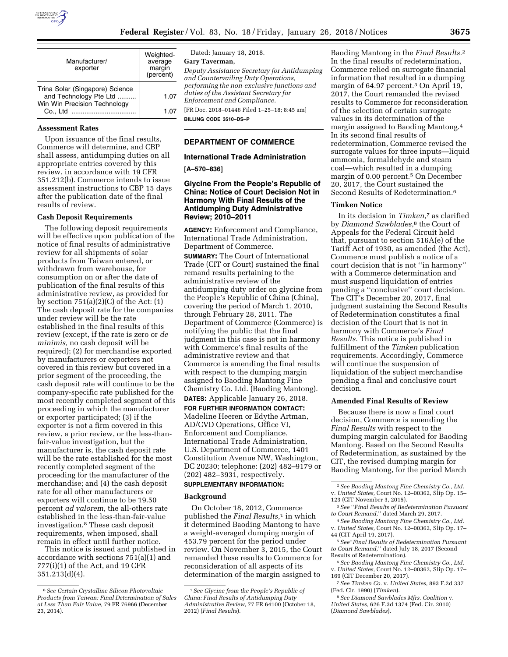

| Manufacturer/<br>exporter                                                                 | Weighted-<br>average<br>margin<br>(percent) |
|-------------------------------------------------------------------------------------------|---------------------------------------------|
| Trina Solar (Singapore) Science<br>and Technology Pte Ltd<br>Win Win Precision Technology | 1.07                                        |
| Co., Ltd                                                                                  | 1.07                                        |

#### **Assessment Rates**

Upon issuance of the final results, Commerce will determine, and CBP shall assess, antidumping duties on all appropriate entries covered by this review, in accordance with 19 CFR 351.212(b). Commerce intends to issue assessment instructions to CBP 15 days after the publication date of the final results of review.

# **Cash Deposit Requirements**

The following deposit requirements will be effective upon publication of the notice of final results of administrative review for all shipments of solar products from Taiwan entered, or withdrawn from warehouse, for consumption on or after the date of publication of the final results of this administrative review, as provided for by section  $751(a)(2)(C)$  of the Act:  $(1)$ The cash deposit rate for the companies under review will be the rate established in the final results of this review (except, if the rate is zero or *de minimis,* no cash deposit will be required); (2) for merchandise exported by manufacturers or exporters not covered in this review but covered in a prior segment of the proceeding, the cash deposit rate will continue to be the company-specific rate published for the most recently completed segment of this proceeding in which the manufacturer or exporter participated; (3) if the exporter is not a firm covered in this review, a prior review, or the less-thanfair-value investigation, but the manufacturer is, the cash deposit rate will be the rate established for the most recently completed segment of the proceeding for the manufacturer of the merchandise; and (4) the cash deposit rate for all other manufacturers or exporters will continue to be 19.50 percent *ad valorem,* the all-others rate established in the less-than-fair-value investigation.8 These cash deposit requirements, when imposed, shall remain in effect until further notice.

This notice is issued and published in accordance with sections 751(a)(1) and 777(i)(1) of the Act, and 19 CFR 351.213(d)(4).

Dated: January 18, 2018.

**Gary Taverman,** 

*Deputy Assistance Secretary for Antidumping and Countervailing Duty Operations, performing the non-exclusive functions and duties of the Assistant Secretary for Enforcement and Compliance.*  [FR Doc. 2018–01446 Filed 1–25–18; 8:45 am]

**BILLING CODE 3510–DS–P** 

## **DEPARTMENT OF COMMERCE**

### **International Trade Administration**

**[A–570–836]** 

### **Glycine From the People's Republic of China: Notice of Court Decision Not in Harmony With Final Results of the Antidumping Duty Administrative Review; 2010–2011**

**AGENCY:** Enforcement and Compliance, International Trade Administration, Department of Commerce.

**SUMMARY:** The Court of International Trade (CIT or Court) sustained the final remand results pertaining to the administrative review of the antidumping duty order on glycine from the People's Republic of China (China), covering the period of March 1, 2010, through February 28, 2011. The Department of Commerce (Commerce) is notifying the public that the final judgment in this case is not in harmony with Commerce's final results of the administrative review and that Commerce is amending the final results with respect to the dumping margin assigned to Baoding Mantong Fine Chemistry Co. Ltd. (Baoding Mantong). **DATES:** Applicable January 26, 2018.

**FOR FURTHER INFORMATION CONTACT:**  Madeline Heeren or Edythe Artman, AD/CVD Operations, Office VI, Enforcement and Compliance, International Trade Administration, U.S. Department of Commerce, 1401 Constitution Avenue NW, Washington, DC 20230; telephone: (202) 482–9179 or (202) 482–3931, respectively.

## **SUPPLEMENTARY INFORMATION:**

#### **Background**

On October 18, 2012, Commerce published the *Final Results,*1 in which it determined Baoding Mantong to have a weight-averaged dumping margin of 453.79 percent for the period under review. On November 3, 2015, the Court remanded these results to Commerce for reconsideration of all aspects of its determination of the margin assigned to

Baoding Mantong in the *Final Results.*2 In the final results of redetermination, Commerce relied on surrogate financial information that resulted in a dumping margin of 64.97 percent.3 On April 19, 2017, the Court remanded the revised results to Commerce for reconsideration of the selection of certain surrogate values in its determination of the margin assigned to Baoding Mantong.4 In its second final results of redetermination, Commerce revised the surrogate values for three inputs—liquid ammonia, formaldehyde and steam coal—which resulted in a dumping margin of 0.00 percent.<sup>5</sup> On December 20, 2017, the Court sustained the Second Results of Redetermination.6

### **Timken Notice**

In its decision in *Timken,*7 as clarified by *Diamond Sawblades,*8 the Court of Appeals for the Federal Circuit held that, pursuant to section 516A(e) of the Tariff Act of 1930, as amended (the Act), Commerce must publish a notice of a court decision that is not ''in harmony'' with a Commerce determination and must suspend liquidation of entries pending a ''conclusive'' court decision. The CIT's December 20, 2017, final judgment sustaining the Second Results of Redetermination constitutes a final decision of the Court that is not in harmony with Commerce's *Final Results.* This notice is published in fulfillment of the *Timken* publication requirements. Accordingly, Commerce will continue the suspension of liquidation of the subject merchandise pending a final and conclusive court decision.

### **Amended Final Results of Review**

Because there is now a final court decision, Commerce is amending the *Final Results* with respect to the dumping margin calculated for Baoding Mantong. Based on the Second Results of Redetermination, as sustained by the CIT, the revised dumping margin for Baoding Mantong, for the period March

<sup>8</sup>*See Certain Crystalline Silicon Photovoltaic Products from Taiwan: Final Determination of Sales at Less Than Fair Value,* 79 FR 76966 (December 23, 2014).

<sup>1</sup>*See Glycine from the People's Republic of China: Final Results of Antidumping Duty Administrative Review,* 77 FR 64100 (October 18, 2012) (*Final Results*).

<sup>2</sup>*See Baoding Mantong Fine Chemistry Co., Ltd.*  v. *United States,* Court No. 12–00362, Slip Op. 15– 123 (CIT November 3, 2015).

<sup>3</sup>*See* ''*Final Results of Redetermination Pursuant to Court Remand,*'' dated March 29, 2017.

<sup>4</sup>*See Baoding Mantong Fine Chemistry Co., Ltd.*  v. *United States,* Court No. 12–00362, Slip Op. 17– 44 (CIT April 19, 2017).

<sup>5</sup>*See*''*Final Results of Redetermination Pursuant to Court Remand,*'' dated July 18, 2017 (Second Results of Redetermination).

<sup>6</sup>*See Baoding Mantong Fine Chemistry Co., Ltd.*  v. *United States,* Court No. 12–00362, Slip Op. 17– 169 (CIT December 20, 2017).

<sup>7</sup>*See Timken Co.* v. *United States,* 893 F.2d 337 (Fed. Cir. 1990) (*Timken*).

<sup>8</sup>*See Diamond Sawblades Mfrs. Coalition* v. *United States,* 626 F.3d 1374 (Fed. Cir. 2010) (*Diamond Sawblades*).